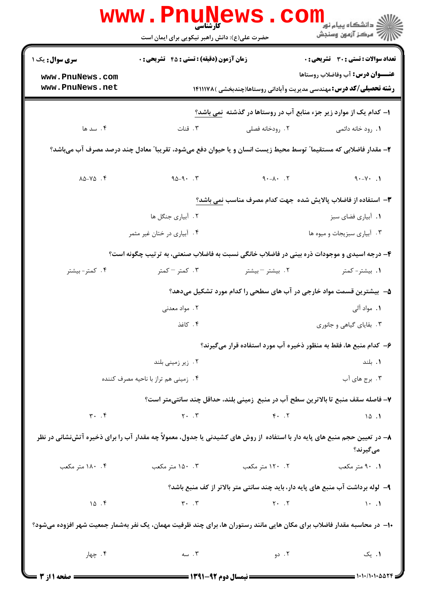|                                      | <b>www.PnuNews</b><br>کارشناسی<br>حضرت علی(ع): دانش راهبر نیکویی برای ایمان است |                      | ر دانشڪاه پيام نور<br>ا∛ مرکز آزمون وسنڊش                                                                                                       |
|--------------------------------------|---------------------------------------------------------------------------------|----------------------|-------------------------------------------------------------------------------------------------------------------------------------------------|
| <b>سری سوال :</b> یک ۱               | <b>زمان آزمون (دقیقه) : تستی : 45 قشریحی : 0</b>                                |                      | تعداد سوالات : تستى : 30 - تشريحي : 0                                                                                                           |
| www.PnuNews.com                      |                                                                                 |                      | <b>عنـــوان درس:</b> آب وفاضلاب روستاها                                                                                                         |
| www.PnuNews.net                      |                                                                                 |                      | <b>رشته تحصیلی/کد درس:</b> مهندسی مدیریت وآبادانی روستاها(چندبخشی )۱۴۱۱۱۷۸                                                                      |
|                                      |                                                                                 |                      | ۱- کدام یک از موارد زیر جزء منابع آب در روستاها در گذشته نمی باشد؟                                                                              |
| ۰۴ سد ها                             | ۰۳ قنات                                                                         | ۰۲ رودخانه فصلی      | <b>۱</b> . رود خانه دائمی                                                                                                                       |
|                                      |                                                                                 |                      | ۲- مقدار فاضلابی که مستقیما" توسط محیط زیست انسان و یا حیوان دفع میشود، تقریبا" معادل چند درصد مصرف آب میباشد؟                                  |
| $\lambda \Delta - V \Delta$ .        | $90 - 9.7$                                                                      | $7. \tA - \lambda -$ | $\uparrow \cdot - \uparrow \cdot$ .)                                                                                                            |
|                                      |                                                                                 |                      | ۳- استفاده از فاضلاب پالایش شده جهت کدام مصرف مناسب نمی باشد؟                                                                                   |
|                                      | ۲. آبیاری جنگل ها                                                               |                      | ٠١. أبياري فضاي سبز                                                                                                                             |
|                                      | ۰۴ آبیاری در ختان غیر مثمر                                                      |                      | ۰۳ آبیاری سبزیجات و میوه ها                                                                                                                     |
|                                      |                                                                                 |                      | ۴- درجه اسیدی و موجودات ذره بینی در فاضلاب خانگی نسبت به فاضلاب صنعتی، به ترتیب چگونه است؟                                                      |
| ۰۴ کمتر- بیشتر                       | ۰۳ کمتر – کمتر                                                                  | ۰۲ بیشتر – بیشتر     | ۰۱. بیشتر- کمتر                                                                                                                                 |
|                                      |                                                                                 |                      | ۵–۔بیشترین قسمت مواد خارجی در آب های سطحی را کدام مورد تشکیل میدهد؟                                                                             |
|                                      | ۰۲ مواد معدنی                                                                   |                      | ۱. مواد آلی                                                                                                                                     |
|                                      | ۰۴ کاغذ                                                                         |                      | ۰۳ بقایای گیاهی و جانوری                                                                                                                        |
|                                      |                                                                                 |                      | ۶– کدام منبع ها، فقط به منظور ذخیره آب مورد استفاده قرار میگیرند؟                                                                               |
|                                      | ۰۲ زیر زمینی بلند                                                               |                      | ۰۱. بلند                                                                                                                                        |
| ۰۴ زمینی هم تراز با ناحیه مصرف کننده |                                                                                 | ۰۳ برج های آب        |                                                                                                                                                 |
|                                      |                                                                                 |                      | ٧- فاصله سقف منبع تا بالاترين سطح آب در منبع ۖ زميني بلند، حداقل چند سانتيمتر است؟                                                              |
| $\mathbf{r}$ . $\mathbf{r}$          |                                                                                 |                      | $Y \cdot Y$ $Y \cdot Y$ $Y \cdot Y$ $Y \cdot Y$ $Y \cdot Y$                                                                                     |
|                                      |                                                                                 |                      | ۸– در تعیین حجم منبع های پایه دار با استفاده ∫ز روش های کشیدنی یا جدول، معمولاً چه مقدار آب را برای ذخیره آتشنشانی در نظر<br>م <i>ی گ</i> یرند؟ |
| ۰۴ ۱۸۰ متر مکعب                      | ۹۰ .۱ متر مکعب مسلم ۲۰۰۲ . ۱۲۰ متر مکعب تا ۲۰۰۲ . ۱۵۰ متر مکعب                  |                      |                                                                                                                                                 |
|                                      |                                                                                 |                      | ۹- لوله برداشت آب منبع های پایه دار، باید چند سانتی متر بالاتر از کف منبع باشد؟                                                                 |
| 10.7                                 | $\mathbf{r} \cdot \mathbf{r}$ (1.1)                                             |                      |                                                                                                                                                 |
|                                      |                                                                                 |                      | ۱۰– در محاسبه مقدار فاضلاب برای مکان هایی مانند رستوران ها، برای چند ظرفیت مهمان، یک نفر بهشمار جمعیت شهر افزوده میشود؟                         |
| ۰۴ چهار                              | ۲. دو ۲. دو ۲. سه                                                               |                      | ۰۱ یک                                                                                                                                           |
| = صفحه 1 از 3                        |                                                                                 |                      |                                                                                                                                                 |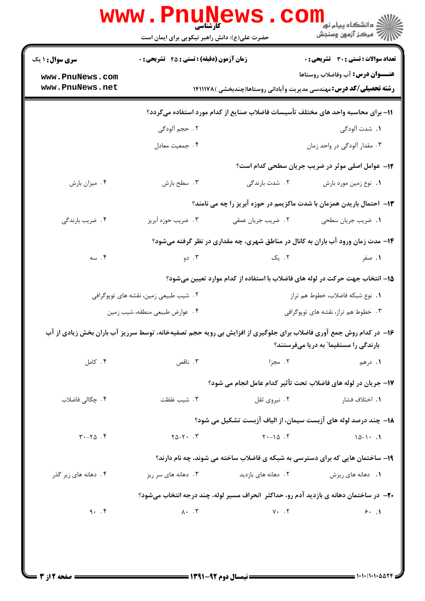|                                       | حضرت علی(ع): دانش راهبر نیکویی برای ایمان است    |                                     | ر دانشڪاه پيام نور<br>ا∛ مرکز آزمون وسنجش                                                                                                                  |  |
|---------------------------------------|--------------------------------------------------|-------------------------------------|------------------------------------------------------------------------------------------------------------------------------------------------------------|--|
| <b>سری سوال : ۱ یک</b>                | <b>زمان آزمون (دقیقه) : تستی : 45 تشریحی : 0</b> |                                     | <b>تعداد سوالات : تستي : 30 ٪ تشريحي : 0</b>                                                                                                               |  |
| www.PnuNews.com<br>www.PnuNews.net    |                                                  |                                     | <b>عنـــوان درس:</b> آب وفاضلاب روستاها<br><b>رشته تحصیلی/کد درس:</b> مهندسی مدیریت وآبادانی روستاها(چندبخشی )۱۴۱۱۱۷۸                                      |  |
|                                       |                                                  |                                     | 1۱– برای محاسبه واحد های مختلف تأسیسات فاضلاب صنایع از کدام مورد استفاده میگردد؟                                                                           |  |
|                                       | ٢.  حجم ألودگي                                   |                                     | <b>۱.</b> شدت آلودگی                                                                                                                                       |  |
|                                       | ۰۴ جمعیت معادل                                   |                                     | ۰۳ مقدار آلودگی در واحد زمان                                                                                                                               |  |
|                                       |                                                  |                                     | 12- عوامل اصلی موثر در ضریب جریان سطحی کدام است؟                                                                                                           |  |
| ۰۴ میزان بارش                         | ۰۳ سطح بارش                                      | ۲. شدت بارندگی                      | ٠١. نوع زمين مورد بارش                                                                                                                                     |  |
|                                       |                                                  |                                     | ۱۳– احتمال باریدن همزمان با شدت ماکزیمم در حوزه آبریز را چه می نامند؟                                                                                      |  |
| ۰۴ ضریب بارندگی                       | ۰۳ ضریب حوزه آبریز                               | ٢. ضريب جريان عمقى                  | 1. ضريب جريان سطحي                                                                                                                                         |  |
|                                       |                                                  |                                     | ۱۴- مدت زمان ورود آب باران به کانال در مناطق شهری، چه مقداری در نظر گرفته میشود؟                                                                           |  |
| ۰۴ سه                                 |                                                  | ۲. یک سه ۲۰۰ دو                     | ۰۱ صفر                                                                                                                                                     |  |
|                                       |                                                  |                                     | ۱۵– انتخاب جهت حرکت در لوله های فاضلاب با استفاده از کدام موارد تعیین میشود؟                                                                               |  |
| ۲. شیب طبیعی زمین، نقشه های توپوگرافی |                                                  |                                     | <b>۱.</b> نوع شبکه فاضلاب، خطوط هم تراز                                                                                                                    |  |
| ۰۴ عوارض طبيعي منطقه، شيب زمين        |                                                  | ۰۳ خطوط هم تراز، نقشه های توپوگرافی |                                                                                                                                                            |  |
|                                       |                                                  |                                     | ۱۶- در کدام روش جمع آوری فاضلاب برای جلوگیری از افزایش بی رویه حجم تصفیهخانه، توسط سرریز آب باران بخش زیادی از آب<br>بارندگی را مستقیما″ به دریا میفرستند؟ |  |
| ۰۴ کامل                               | ۰۳ ناقص                                          | ۲. مجزا                             | ۱. درهم                                                                                                                                                    |  |
|                                       |                                                  |                                     | ١٧- جريان در لوله هاي فاضلاب تحت تأثير كدام عامل انجام مي شود؟                                                                                             |  |
| ۴. چگالی فاضلاب                       | ۰۳ شیب غلظت                                      | ۰۲ نیروی ثقل                        | <b>۱.</b> اختلاف فشا <sub>ر</sub>                                                                                                                          |  |
|                                       |                                                  |                                     | ۱۸– چند درصد لوله های آزبست سیمان، از الیاف آزبست تشکیل می شود؟                                                                                            |  |
| $T - 70$ .                            | $Y_0 - Y_1 \cdot \cdot Y$                        | $Y - 10.7$                          | $10 - 1 - 1$                                                                                                                                               |  |
|                                       |                                                  |                                     | ۱۹- ساختمان هایی که برای دسترسی به شبکه ی فاضلاب ساخته می شوند، چه نام دارند؟                                                                              |  |
| ۰۴ دهانه های زیر گذر                  | ۰۳ دهانه های سر ریز                              | ۲. دهانه های بازدید                 | 1. دهانه های ریزش                                                                                                                                          |  |
|                                       |                                                  |                                     | <b>۳۰</b> - در ساختمان دهانه ی بازدید آدم رو، حداکثر  انحراف مسیر لوله، چند درجه انتخاب میشود؟                                                             |  |
| 9.7                                   | $\lambda \cdot \cdot \cdot \mathsf{t}$           | $Y - Y$                             | 9.1                                                                                                                                                        |  |